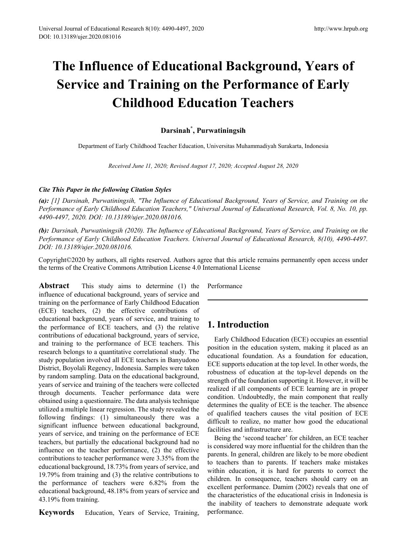# **The Influence of Educational Background, Years of Service and Training on the Performance of Early Childhood Education Teachers**

# **Darsinah\* , Purwatiningsih**

Department of Early Childhood Teacher Education, Universitas Muhammadiyah Surakarta, Indonesia

*Received June 11, 2020; Revised August 17, 2020; Accepted August 28, 2020*

## *Cite This Paper in the following Citation Styles*

(a): [1] Darsinah, Purwatiningsih, "The Influence of Educational Background, Years of Service, and Training on the *Performance of Early Childhood Education Teachers," Universal Journal of Educational Research, Vol. 8, No. 10, pp. 4490-4497, 2020. DOI: 10.13189/ujer.2020.081016.* 

*(b): Darsinah, Purwatiningsih (2020). The Influence of Educational Background, Years of Service, and Training on the Performance of Early Childhood Education Teachers. Universal Journal of Educational Research, 8(10), 4490-4497. DOI: 10.13189/ujer.2020.081016.* 

Copyright©2020 by authors, all rights reserved. Authors agree that this article remains permanently open access under the terms of the Creative Commons Attribution License 4.0 International License

**Abstract** This study aims to determine (1) the influence of educational background, years of service and training on the performance of Early Childhood Education (ECE) teachers, (2) the effective contributions of educational background, years of service, and training to the performance of ECE teachers, and (3) the relative contributions of educational background, years of service, and training to the performance of ECE teachers. This research belongs to a quantitative correlational study. The study population involved all ECE teachers in Banyudono District, Boyolali Regency, Indonesia. Samples were taken by random sampling. Data on the educational background, years of service and training of the teachers were collected through documents. Teacher performance data were obtained using a questionnaire. The data analysis technique utilized a multiple linear regression. The study revealed the following findings: (1) simultaneously there was a significant influence between educational background, years of service, and training on the performance of ECE teachers, but partially the educational background had no influence on the teacher performance, (2) the effective contributions to teacher performance were 3.35% from the educational background, 18.73% from years of service, and 19.79% from training and (3) the relative contributions to the performance of teachers were 6.82% from the educational background, 48.18% from years of service and 43.19% from training.

**Keywords** Education, Years of Service, Training,

Performance

# **1. Introduction**

Early Childhood Education (ECE) occupies an essential position in the education system, making it placed as an educational foundation. As a foundation for education, ECE supports education at the top level. In other words, the robustness of education at the top-level depends on the strength of the foundation supporting it. However, it will be realized if all components of ECE learning are in proper condition. Undoubtedly, the main component that really determines the quality of ECE is the teacher. The absence of qualified teachers causes the vital position of ECE difficult to realize, no matter how good the educational facilities and infrastructure are.

Being the 'second teacher' for children, an ECE teacher is considered way more influential for the children than the parents. In general, children are likely to be more obedient to teachers than to parents. If teachers make mistakes within education, it is hard for parents to correct the children. In consequence, teachers should carry on an excellent performance. Damim (2002) reveals that one of the characteristics of the educational crisis in Indonesia is the inability of teachers to demonstrate adequate work performance.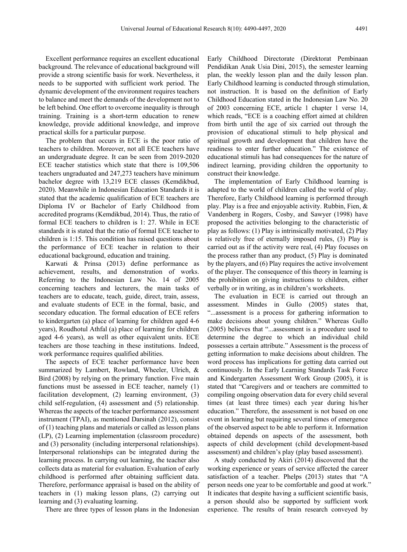Excellent performance requires an excellent educational background. The relevance of educational background will provide a strong scientific basis for work. Nevertheless, it needs to be supported with sufficient work period. The dynamic development of the environment requires teachers to balance and meet the demands of the development not to be left behind. One effort to overcome inequality is through training. Training is a short-term education to renew knowledge, provide additional knowledge, and improve practical skills for a particular purpose.

The problem that occurs in ECE is the poor ratio of teachers to children. Moreover, not all ECE teachers have an undergraduate degree. It can be seen from 2019-2020 ECE teacher statistics which state that there is 109,506 teachers ungraduated and 247,273 teachers have minimum bachelor degree with 13,219 ECE classes (Kemdikbud, 2020). Meanwhile in Indonesian Education Standards it is stated that the academic qualification of ECE teachers are Diploma IV or Bachelor of Early Childhood from accredited programs (Kemdikbud, 2014). Thus, the ratio of formal ECE teachers to children is 1: 27. While in ECE standards it is stated that the ratio of formal ECE teacher to children is 1:15. This condition has raised questions about the performance of ECE teacher in relation to their educational background, education and training.

Karwati & Prinsa (2013) define performance as achievement, results, and demonstration of works. Referring to the Indonesian Law No. 14 of 2005 concerning teachers and lecturers, the main tasks of teachers are to educate, teach, guide, direct, train, assess, and evaluate students of ECE in the formal, basic, and secondary education. The formal education of ECE refers to kindergarten (a) place of learning for children aged 4-6 years), Roudhotul Athfal (a) place of learning for children aged 4-6 years), as well as other equivalent units. ECE teachers are those teaching in these institutions. Indeed, work performance requires qualified abilities.

The aspects of ECE teacher performance have been summarized by Lambert, Rowland, Wheeler, Ulrich, & Bird (2008) by relying on the primary function. Five main functions must be assessed in ECE teacher, namely (1) facilitation development, (2) learning environment, (3) child self-regulation, (4) assessment and (5) relationship. Whereas the aspects of the teacher performance assessment instrument (TPAI), as mentioned Darsinah (2012), consist of (1) teaching plans and materials or called as lesson plans (LP), (2) Learning implementation (classroom procedure) and (3) personality (including interpersonal relationships). Interpersonal relationships can be integrated during the learning process. In carrying out learning, the teacher also collects data as material for evaluation. Evaluation of early childhood is performed after obtaining sufficient data. Therefore, performance appraisal is based on the ability of teachers in (1) making lesson plans, (2) carrying out learning and (3) evaluating learning.

There are three types of lesson plans in the Indonesian

Early Childhood Directorate (Direktorat Pembinaan Pendidikan Anak Usia Dini, 2015), the semester learning plan, the weekly lesson plan and the daily lesson plan. Early Childhood learning is conducted through stimulation, not instruction. It is based on the definition of Early Childhood Education stated in the Indonesian Law No. 20 of 2003 concerning ECE, article 1 chapter 1 verse 14, which reads, "ECE is a coaching effort aimed at children from birth until the age of six carried out through the provision of educational stimuli to help physical and spiritual growth and development that children have the readiness to enter further education." The existence of educational stimuli has had consequences for the nature of indirect learning, providing children the opportunity to construct their knowledge.

The implementation of Early Childhood learning is adapted to the world of children called the world of play. Therefore, Early Childhood learning is performed through play. Play is a free and enjoyable activity. Rubbin, Fien, & Vandenberg in Rogers, Cosby, and Sawyer (1998) have proposed the activities belonging to the characteristic of play as follows: (1) Play is intrinsically motivated, (2) Play is relatively free of eternally imposed rules, (3) Play is carried out as if the activity were real, (4) Play focuses on the process rather than any product, (5) Play is dominated by the players, and (6) Play requires the active involvement of the player. The consequence of this theory in learning is the prohibition on giving instructions to children, either verbally or in writing, as in children's worksheets.

The evaluation in ECE is carried out through an assessment. Mindes in Gullo (2005) states that, "...assessment is a process for gathering information to make decisions about young children." Whereas Gullo (2005) believes that "...assessment is a procedure used to determine the degree to which an individual child possesses a certain attribute." Assessment is the process of getting information to make decisions about children. The word process has implications for getting data carried out continuously. In the Early Learning Standards Task Force and Kindergarten Assessment Work Group (2005), it is stated that "Caregivers and or teachers are committed to compiling ongoing observation data for every child several times (at least three times) each year during his/her education." Therefore, the assessment is not based on one event in learning but requiring several times of emergence of the observed aspect to be able to perform it. Information obtained depends on aspects of the assessment, both aspects of child development (child development-based assessment) and children's play (play based assessment).

A study conducted by Akiri (2014) discovered that the working experience or years of service affected the career satisfaction of a teacher. Phelps (2013) states that "A person needs one year to be comfortable and good at work." It indicates that despite having a sufficient scientific basis, a person should also be supported by sufficient work experience. The results of brain research conveyed by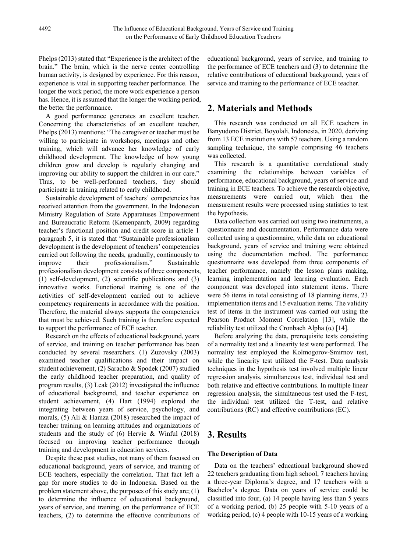Phelps (2013) stated that "Experience is the architect of the brain." The brain, which is the nerve center controlling human activity, is designed by experience. For this reason, experience is vital in supporting teacher performance. The longer the work period, the more work experience a person has. Hence, it is assumed that the longer the working period, the better the performance.

A good performance generates an excellent teacher. Concerning the characteristics of an excellent teacher, Phelps (2013) mentions: "The caregiver or teacher must be willing to participate in workshops, meetings and other training, which will advance her knowledge of early childhood development. The knowledge of how young children grow and develop is regularly changing and improving our ability to support the children in our care." Thus, to be well-performed teachers, they should participate in training related to early childhood.

Sustainable development of teachers' competencies has received attention from the government. In the Indonesian Ministry Regulation of State Apparatuses Empowerment and Bureaucratic Reform (Kemenpanrb, 2009) regarding teacher's functional position and credit score in article 1 paragraph 5, it is stated that "Sustainable professionalism development is the development of teachers' competencies carried out following the needs, gradually, continuously to improve their professionalism." Sustainable professionalism development consists of three components, (1) self-development, (2) scientific publications and (3) innovative works. Functional training is one of the activities of self-development carried out to achieve competency requirements in accordance with the position. Therefore, the material always supports the competencies that must be achieved. Such training is therefore expected to support the performance of ECE teacher.

Research on the effects of educational background, years of service, and training on teacher performance has been conducted by several researchers. (1) Zuzovsky (2003) examined teacher qualifications and their impact on student achievement, (2) Saracho & Spodek (2007) studied the early childhood teacher preparation, and quality of program results, (3) Leak (2012) investigated the influence of educational background, and teacher experience on student achievement, (4) Hart (1994) explored the integrating between years of service, psychology, and morals, (5) Ali & Hamza (2018) researched the impact of teacher training on learning attitudes and organizations of students and the study of (6) Hervie & Winful (2018) focused on improving teacher performance through training and development in education services.

Despite these past studies, not many of them focused on educational background, years of service, and training of ECE teachers, especially the correlation. That fact left a gap for more studies to do in Indonesia. Based on the problem statement above, the purposes of this study are; (1) to determine the influence of educational background, years of service, and training, on the performance of ECE teachers, (2) to determine the effective contributions of

educational background, years of service, and training to the performance of ECE teachers and (3) to determine the relative contributions of educational background, years of service and training to the performance of ECE teacher.

# **2. Materials and Methods**

This research was conducted on all ECE teachers in Banyudono District, Boyolali, Indonesia, in 2020, deriving from 13 ECE institutions with 57 teachers. Using a random sampling technique, the sample comprising 46 teachers was collected.

This research is a quantitative correlational study examining the relationships between variables of performance, educational background, years of service and training in ECE teachers. To achieve the research objective, measurements were carried out, which then the measurement results were processed using statistics to test the hypothesis.

Data collection was carried out using two instruments, a questionnaire and documentation. Performance data were collected using a questionnaire, while data on educational background, years of service and training were obtained using the documentation method. The performance questionnaire was developed from three components of teacher performance, namely the lesson plans making, learning implementation and learning evaluation. Each component was developed into statement items. There were 56 items in total consisting of 18 planning items, 23 implementation items and 15 evaluation items. The validity test of items in the instrument was carried out using the Pearson Product Moment Correlation [13], while the reliability test utilized the Cronbach Alpha  $(\alpha)$  [14].

Before analyzing the data, prerequisite tests consisting of a normality test and a linearity test were performed. The normality test employed the Kolmogorov-Smirnov test, while the linearity test utilized the F-test. Data analysis techniques in the hypothesis test involved multiple linear regression analysis, simultaneous test, individual test and both relative and effective contributions. In multiple linear regression analysis, the simultaneous test used the F-test, the individual test utilized the T-test, and relative contributions (RC) and effective contributions (EC).

# **3. Results**

## **The Description of Data**

Data on the teachers' educational background showed 22 teachers graduating from high school, 7 teachers having a three-year Diploma's degree, and 17 teachers with a Bachelor's degree. Data on years of service could be classified into four, (a) 14 people having less than 5 years of a working period, (b) 25 people with 5-10 years of a working period, (c) 4 people with 10-15 years of a working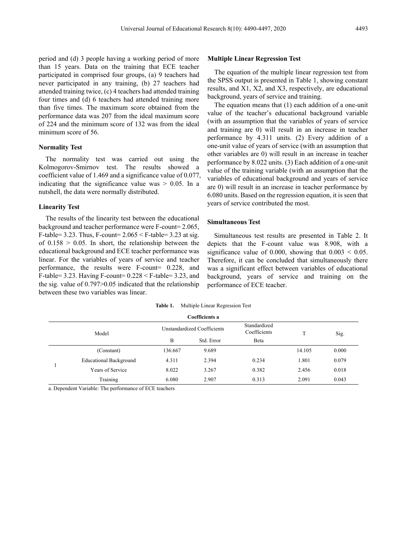period and (d) 3 people having a working period of more than 15 years. Data on the training that ECE teacher participated in comprised four groups, (a) 9 teachers had never participated in any training, (b) 27 teachers had attended training twice, (c) 4 teachers had attended training four times and (d) 6 teachers had attended training more than five times. The maximum score obtained from the performance data was 207 from the ideal maximum score of 224 and the minimum score of 132 was from the ideal minimum score of 56.

## **Normality Test**

The normality test was carried out using the Kolmogorov-Smirnov test. The results showed coefficient value of 1.469 and a significance value of 0.077, indicating that the significance value was  $> 0.05$ . In a nutshell, the data were normally distributed.

## **Linearity Test**

The results of the linearity test between the educational background and teacher performance were F-count= 2.065, F-table= 3.23. Thus, F-count=  $2.065 \leq$  F-table= 3.23 at sig. of  $0.158 > 0.05$ . In short, the relationship between the educational background and ECE teacher performance was linear. For the variables of years of service and teacher performance, the results were F-count= 0.228, and F-table= 3.23. Having F-count=  $0.228 \leq$  F-table= 3.23, and the sig. value of 0.797>0.05 indicated that the relationship between these two variables was linear.

#### **Multiple Linear Regression Test**

The equation of the multiple linear regression test from the SPSS output is presented in Table 1, showing constant results, and X1, X2, and X3, respectively, are educational background, years of service and training.

The equation means that (1) each addition of a one-unit value of the teacher's educational background variable (with an assumption that the variables of years of service and training are 0) will result in an increase in teacher performance by 4.311 units. (2) Every addition of a one-unit value of years of service (with an assumption that other variables are 0) will result in an increase in teacher performance by 8.022 units. (3) Each addition of a one-unit value of the training variable (with an assumption that the variables of educational background and years of service are 0) will result in an increase in teacher performance by 6.080 units. Based on the regression equation, it is seen that years of service contributed the most.

## **Simultaneous Test**

Simultaneous test results are presented in Table 2. It depicts that the F-count value was 8.908, with a significance value of 0.000, showing that  $0.003 < 0.05$ . Therefore, it can be concluded that simultaneously there was a significant effect between variables of educational background, years of service and training on the performance of ECE teacher.

| Table 1. |  |  | Multiple Linear Regression Test |  |
|----------|--|--|---------------------------------|--|
|----------|--|--|---------------------------------|--|

|  | Coefficients a                |         |                             |                              |        |       |  |
|--|-------------------------------|---------|-----------------------------|------------------------------|--------|-------|--|
|  | Model                         |         | Unstandardized Coefficients | Standardized<br>Coefficients |        | Sig.  |  |
|  |                               | B       | Std. Error                  | Beta                         |        |       |  |
|  | (Constant)                    | 136.667 | 9.689                       |                              | 14.105 | 0.000 |  |
|  | <b>Educational Background</b> | 4.311   | 2.394                       | 0.234                        | 1.801  | 0.079 |  |
|  | Years of Service              | 8.022   | 3.267                       | 0.382                        | 2.456  | 0.018 |  |
|  | Training                      | 6.080   | 2.907                       | 0.313                        | 2.091  | 0.043 |  |

a. Dependent Variable: The performance of ECE teachers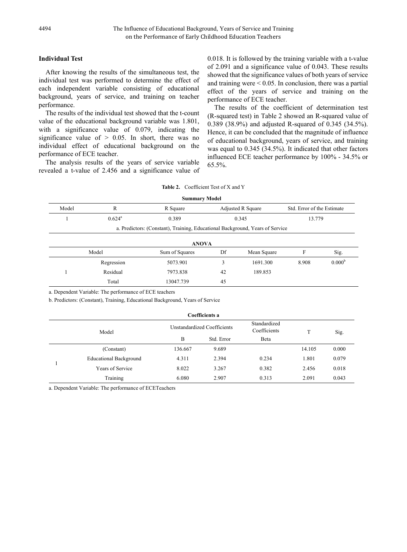## **Individual Test**

After knowing the results of the simultaneous test, the individual test was performed to determine the effect of each independent variable consisting of educational background, years of service, and training on teacher performance.

The results of the individual test showed that the t-count value of the educational background variable was 1.801, with a significance value of 0.079, indicating the significance value of  $> 0.05$ . In short, there was no individual effect of educational background on the performance of ECE teacher.

The analysis results of the years of service variable revealed a t-value of 2.456 and a significance value of 0.018. It is followed by the training variable with a t-value of 2.091 and a significance value of 0.043. These results showed that the significance values of both years of service and training were  $\leq 0.05$ . In conclusion, there was a partial effect of the years of service and training on the performance of ECE teacher.

The results of the coefficient of determination test (R-squared test) in Table 2 showed an R-squared value of 0.389 (38.9%) and adjusted R-squared of 0.345 (34.5%). Hence, it can be concluded that the magnitude of influence of educational background, years of service, and training was equal to 0.345 (34.5%). It indicated that other factors influenced ECE teacher performance by 100% - 34.5% or 65.5%.

## **Table 2.** Coefficient Test of X and Y

| <b>Summary Model</b>                              |                                                                               |           |                   |          |                            |                    |  |  |
|---------------------------------------------------|-------------------------------------------------------------------------------|-----------|-------------------|----------|----------------------------|--------------------|--|--|
| Model                                             | R                                                                             | R Square  | Adjusted R Square |          | Std. Error of the Estimate |                    |  |  |
|                                                   | $0.624^{\rm a}$                                                               | 0.389     | 0.345             |          | 13.779                     |                    |  |  |
|                                                   | a. Predictors: (Constant), Training, Educational Background, Years of Service |           |                   |          |                            |                    |  |  |
|                                                   | <b>ANOVA</b>                                                                  |           |                   |          |                            |                    |  |  |
| Model<br>Df<br>F<br>Mean Square<br>Sum of Squares |                                                                               |           |                   | Sig.     |                            |                    |  |  |
|                                                   | Regression                                                                    | 5073.901  | 3                 | 1691.300 | 8.908                      | 0.000 <sup>b</sup> |  |  |
|                                                   | Residual                                                                      | 7973.838  | 42                | 189.853  |                            |                    |  |  |
|                                                   | Total                                                                         | 13047.739 | 45                |          |                            |                    |  |  |

a. Dependent Variable: The performance of ECE teachers

b. Predictors: (Constant), Training, Educational Background, Years of Service

| <b>Coefficients a</b> |                               |                             |            |                              |        |       |
|-----------------------|-------------------------------|-----------------------------|------------|------------------------------|--------|-------|
| Model                 |                               | Unstandardized Coefficients |            | Standardized<br>Coefficients | T      | Sig.  |
|                       |                               | B                           | Std. Error | Beta                         |        |       |
|                       | (Constant)                    | 136.667                     | 9.689      |                              | 14.105 | 0.000 |
|                       | <b>Educational Background</b> | 4.311                       | 2.394      | 0.234                        | 1.801  | 0.079 |
|                       | Years of Service              | 8.022                       | 3.267      | 0.382                        | 2.456  | 0.018 |
|                       | Training                      | 6.080                       | 2.907      | 0.313                        | 2.091  | 0.043 |

a. Dependent Variable: The performance of ECETeachers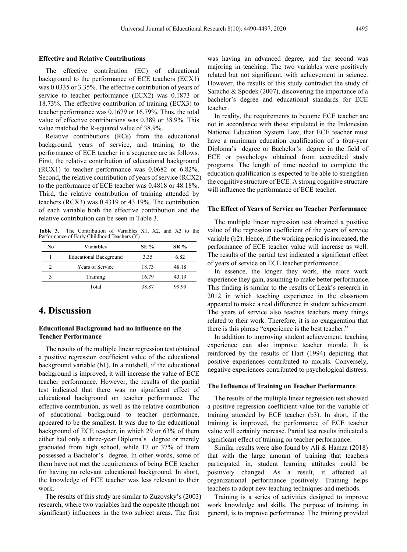#### **Effective and Relative Contributions**

The effective contribution (EC) of educational background to the performance of ECE teachers (ECX1) was 0.0335 or 3.35%. The effective contribution of years of service to teacher performance (ECX2) was 0.1873 or 18.73%. The effective contribution of training (ECX3) to teacher performance was 0.1679 or 16.79%. Thus, the total value of effective contributions was 0.389 or 38.9%. This value matched the R-squared value of 38.9%.

Relative contributions (RCs) from the educational background, years of service, and training to the performance of ECE teacher in a sequence are as follows. First, the relative contribution of educational background (RCX1) to teacher performance was 0.0682 or 6.82%. Second, the relative contribution of years of service (RCX2) to the performance of ECE teacher was 0.4818 or 48.18%. Third, the relative contribution of training attended by teachers (RCX3) was 0.4319 or 43.19%. The contribution of each variable both the effective contribution and the relative contribution can be seen in Table 3.

**Table 3.** The Contribution of Variables X1, X2, and X3 to the Performance of Early Childhood Teachers (Y)

| No | Variables                     | <b>SE %</b> | <b>SR</b> % |
|----|-------------------------------|-------------|-------------|
|    | <b>Educational Background</b> | 3.35        | 6.82        |
| 2  | Years of Service              | 18.73       | 48.18       |
|    | Training                      | 16.79       | 43.19       |
|    | Total                         | 38.87       | 99 99       |

## **4. Discussion**

## **Educational Background had no influence on the Teacher Performance**

The results of the multiple linear regression test obtained a positive regression coefficient value of the educational background variable (b1). In a nutshell, if the educational background is improved, it will increase the value of ECE teacher performance. However, the results of the partial test indicated that there was no significant effect of educational background on teacher performance. The effective contribution, as well as the relative contribution of educational background to teacher performance, appeared to be the smallest. It was due to the educational background of ECE teacher, in which 29 or 63% of them either had only a three-year Diploma's degree or merely graduated from high school, while 17 or 37% of them possessed a Bachelor's degree. In other words, some of them have not met the requirements of being ECE teacher for having no relevant educational background. In short, the knowledge of ECE teacher was less relevant to their work.

The results of this study are similar to Zuzovsky's (2003) research, where two variables had the opposite (though not significant) influences in the two subject areas. The first

was having an advanced degree, and the second was majoring in teaching. The two variables were positively related but not significant, with achievement in science. However, the results of this study contradict the study of Saracho & Spodek (2007), discovering the importance of a bachelor's degree and educational standards for ECE teacher.

In reality, the requirements to become ECE teacher are not in accordance with those stipulated in the Indonesian National Education System Law, that ECE teacher must have a minimum education qualification of a four-year Diploma's degree or Bachelor's degree in the field of ECE or psychology obtained from accredited study programs. The length of time needed to complete the education qualification is expected to be able to strengthen the cognitive structure of ECE. A strong cognitive structure will influence the performance of ECE teacher.

## **The Effect of Years of Service on Teacher Performance**

The multiple linear regression test obtained a positive value of the regression coefficient of the years of service variable (b2). Hence, if the working period is increased, the performance of ECE teacher value will increase as well. The results of the partial test indicated a significant effect of years of service on ECE teacher performance.

In essence, the longer they work, the more work experience they gain, assuming to make better performance. This finding is similar to the results of Leak's research in 2012 in which teaching experience in the classroom appeared to make a real difference in student achievement. The years of service also teaches teachers many things related to their work. Therefore, it is no exaggeration that there is this phrase "experience is the best teacher."

In addition to improving student achievement, teaching experience can also improve teacher morale. It is reinforced by the results of Hart (1994) depicting that positive experiences contributed to morals. Conversely, negative experiences contributed to psychological distress.

#### **The Influence of Training on Teacher Performance**

The results of the multiple linear regression test showed a positive regression coefficient value for the variable of training attended by ECE teacher (b3). In short, if the training is improved, the performance of ECE teacher value will certainly increase. Partial test results indicated a significant effect of training on teacher performance.

Similar results were also found by Ali & Hamza (2018) that with the large amount of training that teachers participated in, student learning attitudes could be positively changed. As a result, it affected all organizational performance positively. Training helps teachers to adopt new teaching techniques and methods.

Training is a series of activities designed to improve work knowledge and skills. The purpose of training, in general, is to improve performance. The training provided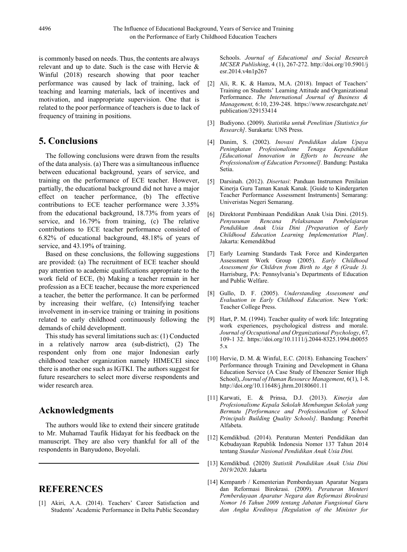is commonly based on needs. Thus, the contents are always relevant and up to date. Such is the case with Hervie & Winful (2018) research showing that poor teacher performance was caused by lack of training, lack of teaching and learning materials, lack of incentives and motivation, and inappropriate supervision. One that is related to the poor performance of teachers is due to lack of frequency of training in positions.

# **5. Conclusions**

The following conclusions were drawn from the results of the data analysis. (a) There was a simultaneous influence between educational background, years of service, and training on the performance of ECE teacher. However, partially, the educational background did not have a major effect on teacher performance, (b) The effective contributions to ECE teacher performance were 3.35% from the educational background, 18.73% from years of service, and 16.79% from training, (c) The relative contributions to ECE teacher performance consisted of 6.82% of educational background, 48.18% of years of service, and 43.19% of training.

Based on these conclusions, the following suggestions are provided: (a) The recruitment of ECE teacher should pay attention to academic qualifications appropriate to the work field of ECE, (b) Making a teacher remain in her profession as a ECE teacher, because the more experienced a teacher, the better the performance. It can be performed by increasing their welfare, (c) Intensifying teacher involvement in in-service training or training in positions related to early childhood continuously following the demands of child developmentt.

This study has several limitations such as: (1) Conducted in a relatively narrow area (sub-district), (2) The respondent only from one major Indonesian early childhood teacher organization namely HIMECEI since there is another one such as IGTKI. The authors suggest for future researchers to select more diverse respondents and wider research area.

# **Acknowledgments**

The authors would like to extend their sincere gratitude to Mr. Muhamad Taufik Hidayat for his feedback on the manuscript. They are also very thankful for all of the respondents in Banyudono, Boyolali.

# **REFERENCES**

[1] Akiri, A.A. (2014). Teachers' Career Satisfaction and Students' Academic Performance in Delta Public Secondary Schools. *Journal of Educational and Social Research MCSER Publishing*, 4 (1), 267-272. http://doi.org[/10.5901/j](http://dx.doi.org/10.5901/jesr.2014.v4n1p267) [esr.2014.v4n1p267](http://dx.doi.org/10.5901/jesr.2014.v4n1p267)

- [2] Ali, R. K. & Hamza, M.A. (2018). Impact of Teachers' Training on Students' Learning Attitude and Organizational Performance. *The International Journal of Business & Management,* 6:10, 239-248[.](https://www.researchgate.net/publication/329153414) [https://www.researchgate.net/](https://www.researchgate.net/publication/329153414) [publication/329153414](https://www.researchgate.net/publication/329153414)
- [3] Budiyono. (2009). *Statistika untuk Penelitian [Statistics for Research]*. Surakarta: UNS Press.
- [4] Danim, S. (2002). *Inovasi Pendidikan dalam Upaya Peningkatan Profesionalisme Tenaga Kependidikan [Educational Innovation in Efforts to Increase the Professionalism of Education Personnel].* Bandung: Pustaka Setia.
- [5] Darsinah. (2012). *Disertasi*: Panduan Instrumen Penilaian Kinerja Guru Taman Kanak Kanak. [Guide to Kindergarten Teacher Performance Assessment Instruments] Semarang: Univeristas Negeri Semarang.
- [6] Direktorat Pembinaan Pendidikan Anak Usia Dini. (2015). *Penyusunan Rencana Pelaksanaan Pembelajaran Pendidikan Anak Usia Dini [Preparation of Early Childhood Education Learning Implementation Plan]*. Jakarta: Kemendikbud
- [7] Early Learning Standards Task Force and Kindergarten Assessment Work Group (2005). *Early Childhood Assessment for Children from Birth to Age 8 (Grade 3).* Harrisburg, PA: Pennsylvania's Departments of Education and Public Welfare.
- [8] Gullo, D. F. (2005). *Understanding Assessment and Evaluation in Early Childhood Education*. New York: Teacher College Press.
- [9] Hart, P. M. (1994). Teacher quality of work life: Integrating work experiences, psychological distress and morale. *Journal of Occupational and Organizational Psychology*, 67*,* 109-1 32[.](https://doi.org/10.1111/j.2044-8325.1994.tb00555.x) [https://doi.org/10.1111/j.2044-8325.1994.tb0055](https://doi.org/10.1111/j.2044-8325.1994.tb00555.x) [5.x](https://doi.org/10.1111/j.2044-8325.1994.tb00555.x)
- [10] Hervie, D. M. & Winful, E.C. (2018). Enhancing Teachers' Performance through Training and Development in Ghana Education Service (A Case Study of Ebenezer Senior High School), *Journal of Human Resource Management*, 6(1), 1-8. <http://doi.org/10.11648/j.jhrm.20180601.11>
- [11] Karwati, E. & Prinsa, D.J. (2013). *Kinerja dan Profesionalisme Kepala Sekolah Membangun Sekolah yang Bermutu [Performance and Professionalism of School Principals Building Quality Schools]*. Bandung: Penerbit Alfabeta.
- [12] Kemdikbud. (2014). Peraturan Menteri Pendidikan dan Kebudayaan Republik Indonesia Nomor 137 Tahun 2014 tentang *Standar Nasional Pendidikan Anak Usia Dini.*
- [13] Kemdikbud. (2020) *Statistik Pendidikan Anak Usia Dini 2019/2020*. Jakarta
- [14] Kempanrb / Kementerian Pemberdayaan Aparatur Negara dan Reformasi Birokrasi. (2009). *Peraturan Menteri Pemberdayaan Aparatur Negara dan Reformasi Birokrasi Nomor 16 Tahun 2009 tentang Jabatan Fungsional Guru dan Angka Kreditnya [Regulation of the Minister for*